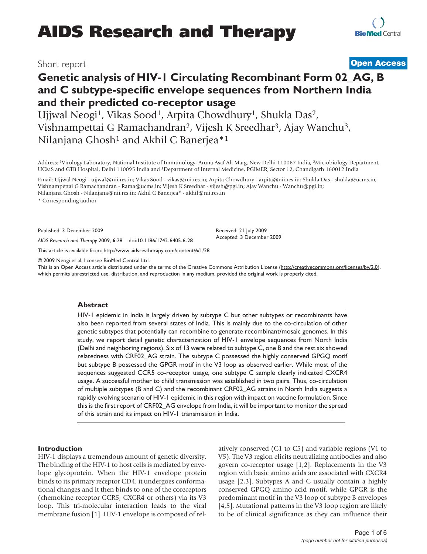## Short report **Open Access**

# **Genetic analysis of HIV-1 Circulating Recombinant Form 02\_AG, B and C subtype-specific envelope sequences from Northern India and their predicted co-receptor usage**

Ujjwal Neogi<sup>1</sup>, Vikas Sood<sup>1</sup>, Arpita Chowdhury<sup>1</sup>, Shukla Das<sup>2</sup>, Vishnampettai G Ramachandran2, Vijesh K Sreedhar3, Ajay Wanchu3, Nilanjana Ghosh<sup>1</sup> and Akhil C Banerjea<sup>\*1</sup>

Address: 1Virology Laboratory, National Institute of Immunology, Aruna Asaf Ali Marg, New Delhi 110067 India, 2Microbiology Department, UCMS and GTB Hospital, Delhi 110095 India and 3Department of Internal Medicine, PGIMER, Sector 12, Chandigarh 160012 India

Email: Ujjwal Neogi - ujjwal@nii.res.in; Vikas Sood - vikas@nii.res.in; Arpita Chowdhury - arpita@nii.res.in; Shukla Das - shukla@ucms.in; Vishnampettai G Ramachandran - Rama@ucms.in; Vijesh K Sreedhar - vijesh@pgi.in; Ajay Wanchu - Wanchu@pgi.in; Nilanjana Ghosh - Nilanjana@nii.res.in; Akhil C Banerjea\* - akhil@nii.res.in

\* Corresponding author

Published: 3 December 2009

*AIDS Research and Therapy* 2009, **6**:28 doi:10.1186/1742-6405-6-28

This article is available from: http://www.aidsrestherapy.com/content/6/1/28

© 2009 Neogi et al; licensee BioMed Central Ltd.

This is an Open Access article distributed under the terms of the Creative Commons Attribution License (http://creativecommons.org/licenses/by/2.0), which permits unrestricted use, distribution, and reproduction in any medium, provided the original work is properly cited.

Received: 21 July 2009 Accepted: 3 December 2009

#### **Abstract**

HIV-1 epidemic in India is largely driven by subtype C but other subtypes or recombinants have also been reported from several states of India. This is mainly due to the co-circulation of other genetic subtypes that potentially can recombine to generate recombinant/mosaic genomes. In this study, we report detail genetic characterization of HIV-1 envelope sequences from North India (Delhi and neighboring regions). Six of 13 were related to subtype C, one B and the rest six showed relatedness with CRF02\_AG strain. The subtype C possessed the highly conserved GPGQ motif but subtype B possessed the GPGR motif in the V3 loop as observed earlier. While most of the sequences suggested CCR5 co-receptor usage, one subtype C sample clearly indicated CXCR4 usage. A successful mother to child transmission was established in two pairs. Thus, co-circulation of multiple subtypes (B and C) and the recombinant CRF02\_AG strains in North India suggests a rapidly evolving scenario of HIV-1 epidemic in this region with impact on vaccine formulation. Since this is the first report of CRF02\_AG envelope from India, it will be important to monitor the spread of this strain and its impact on HIV-1 transmission in India.

#### **Introduction**

HIV-1 displays a tremendous amount of genetic diversity. The binding of the HIV-1 to host cells is mediated by envelope glycoprotein. When the HIV-1 envelope protein binds to its primary receptor CD4, it undergoes conformational changes and it then binds to one of the coreceptors (chemokine receptor CCR5, CXCR4 or others) via its V3 loop. This tri-molecular interaction leads to the viral membrane fusion [1]. HIV-1 envelope is composed of relatively conserved (C1 to C5) and variable regions (V1 to V5). The V3 region elicits neutralizing antibodies and also govern co-receptor usage [1,2]. Replacements in the V3 region with basic amino acids are associated with CXCR4 usage [2,3]. Subtypes A and C usually contain a highly conserved GPGQ amino acid motif, while GPGR is the predominant motif in the V3 loop of subtype B envelopes [4,5]. Mutational patterns in the V3 loop region are likely to be of clinical significance as they can influence their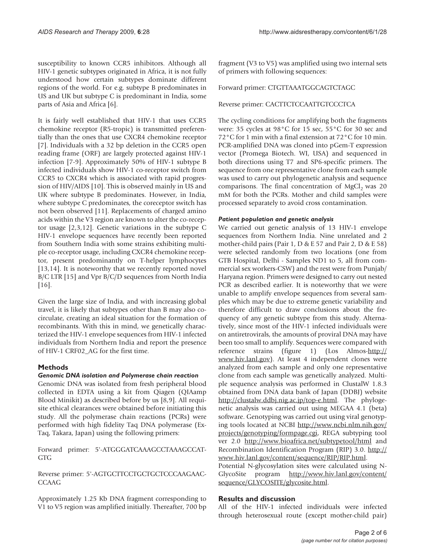It is fairly well established that HIV-1 that uses CCR5 chemokine receptor (R5-tropic) is transmitted preferentially than the ones that use CXCR4 chemokine receptor [7]. Individuals with a 32 bp deletion in the CCR5 open reading frame (ORF) are largely protected against HIV-1 infection [7-9]. Approximately 50% of HIV-1 subtype B infected individuals show HIV-1 co-receptor switch from CCR5 to CXCR4 which is associated with rapid progression of HIV/AIDS [10]. This is observed mainly in US and UK where subtype B predominates. However, in India, where subtype C predominates, the coreceptor switch has not been observed [11]. Replacements of charged amino acids within the V3 region are known to alter the co-receptor usage [2,3,12]. Genetic variations in the subtype C HIV-1 envelope sequences have recently been reported from Southern India with some strains exhibiting multiple co-receptor usage, including CXCR4 chemokine receptor, present predominantly on T-helper lymphocytes [13,14]. It is noteworthy that we recently reported novel B/C LTR [15] and Vpr B/C/D sequences from North India [16].

Given the large size of India, and with increasing global travel, it is likely that subtypes other than B may also cocirculate, creating an ideal situation for the formation of recombinants. With this in mind, we genetically characterized the HIV-1 envelope sequences from HIV-1 infected individuals from Northern India and report the presence of HIV-1 CRF02\_AG for the first time.

### **Methods**

#### *Genomic DNA isolation and Polymerase chain reaction*

Genomic DNA was isolated from fresh peripheral blood collected in EDTA using a kit from Qiagen (QIAamp Blood Minikit) as described before by us [8,9]. All requisite ethical clearances were obtained before initiating this study. All the polymerase chain reactions (PCRs) were performed with high fidelity Taq DNA polymerase (Ex-Taq, Takara, Japan) using the following primers:

Forward primer: 5'-ATGGGATCAAAGCCTAAAGCCAT-GTG

Reverse primer: 5'-AGTGCTTCCTGCTGCTCCCAAGAAC-CCAAG

Approximately 1.25 Kb DNA fragment corresponding to V1 to V5 region was amplified initially. Thereafter, 700 bp fragment (V3 to V5) was amplified using two internal sets of primers with following sequences:

Forward primer: CTGTTAAATGGCAGTCTAGC

Reverse primer: CACTTCTCCAATTGTCCCTCA

The cycling conditions for amplifying both the fragments were: 35 cycles at 98°C for 15 sec, 55°C for 30 sec and 72°C for 1 min with a final extension at 72°C for 10 min. PCR-amplified DNA was cloned into pGem-T expression vector (Promega Biotech. WI, USA) and sequenced in both directions using T7 and SP6-specific primers. The sequence from one representative clone from each sample was used to carry out phylogenetic analysis and sequence comparisons. The final concentration of  $MgCl<sub>2</sub>$  was 20 mM for both the PCRs. Mother and child samples were processed separately to avoid cross contamination.

#### *Patient population and genetic analysis*

We carried out genetic analysis of 13 HIV-1 envelope sequences from Northern India. Nine unrelated and 2 mother-child pairs (Pair 1, D & E 57 and Pair 2, D & E 58) were selected randomly from two locations (one from GTB Hospital, Delhi - Samples ND1 to 5, all from commercial sex workers-CSW) and the rest were from Punjab/ Haryana region. Primers were designed to carry out nested PCR as described earlier. It is noteworthy that we were unable to amplify envelope sequences from several samples which may be due to extreme genetic variability and therefore difficult to draw conclusions about the frequency of any genetic subtype from this study. Alternatively, since most of the HIV-1 infected individuals were on antiretrovirals, the amounts of proviral DNA may have been too small to amplify. Sequences were compared with reference strains (figure 1) (Los Almos-http:// www.hiv.lanl.gov). At least 4 independent clones were analyzed from each sample and only one representative clone from each sample was genetically analyzed. Multiple sequence analysis was performed in ClustalW 1.8.3 obtained from DNA data bank of Japan (DDBJ) website http://clustalw.ddbj.nig.ac.jp/top-e.html. The phylogenetic analysis was carried out using MEGAA 4.1 (beta) software. Genotyping was carried out using viral genotyping tools located at NCBI http://www.ncbi.nlm.nih.gov/ projects/genotyping/formpage.cgi, REGA subtyping tool ver 2.0 http://www.bioafrica.net/subtypetool/html and Recombination Identification Program (RIP) 3.0. http:// www.hiv.lanl.gov/content/sequence/RIP/RIP.html. Potential N-glycosylation sites were calculated using N-

GlycoSite program http://www.hiv.lanl.gov/content/ sequence/GLYCOSITE/glycosite.html.

#### **Results and discussion**

All of the HIV-1 infected individuals were infected through heterosexual route (except mother-child pair)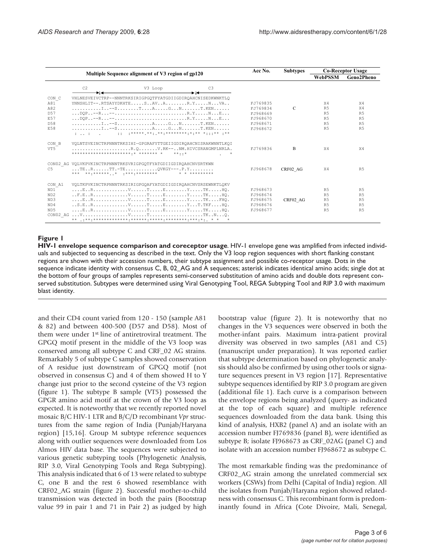|                                                                                                                                                                |                      |                                                                                                                                                              |                |                      | <b>Subtypes</b> | <b>Co-Receptor Usage</b>         |                                  |
|----------------------------------------------------------------------------------------------------------------------------------------------------------------|----------------------|--------------------------------------------------------------------------------------------------------------------------------------------------------------|----------------|----------------------|-----------------|----------------------------------|----------------------------------|
| Multiple Sequence alignment of V3 region of gp120                                                                                                              |                      |                                                                                                                                                              |                |                      |                 | WebPSSM                          | Geno2Pheno                       |
|                                                                                                                                                                | C <sub>2</sub>       | V3 Loop                                                                                                                                                      | C <sub>3</sub> |                      |                 |                                  |                                  |
| CON C<br>A81                                                                                                                                                   |                      | VHLNESVEIVCTRP--NNNTRKSIRIGPGOTFYATGDIIGDIROAHCNISEDKWNKTLO<br>YNNSHLIT--.RTSAYYDKHTESAVAR.YNVA                                                              |                | FJ769835             |                 | X4                               | X4                               |
| A82                                                                                                                                                            |                      |                                                                                                                                                              |                | FJ769834             | $\mathcal{C}$   | R <sub>5</sub>                   | X4                               |
| D <sub>57</sub>                                                                                                                                                |                      |                                                                                                                                                              |                | FJ968669             |                 | R <sub>5</sub>                   | R <sub>5</sub>                   |
| E57                                                                                                                                                            |                      |                                                                                                                                                              |                | FJ968670             |                 | R <sub>5</sub>                   | R <sub>5</sub>                   |
| D.58                                                                                                                                                           |                      |                                                                                                                                                              |                | FJ968671             |                 | R <sub>5</sub>                   | R <sub>5</sub>                   |
| E58                                                                                                                                                            | distance of the Con- |                                                                                                                                                              |                | FJ968672             |                 | R <sub>5</sub>                   | R <sub>5</sub>                   |
| CON B<br>VT5                                                                                                                                                   |                      | VOLNTSVEINCTRPNNNTRKSIHI-GPGRAFYTTGEIIGDIROAHCNISRAKWNNTLKOI<br>$\ldots \ldots \ldots \ldots \ldots \ldots \ldots \ldots$ . R.O V.RK-- NM. HIVCSRANGMPLNRLA. |                | FJ769836             | <sub>R</sub>    | X4                               | X4                               |
| CON02 AG VOLVKPVKINCTRPNNNTRKSVRIGPGOTFYATGDIIGDIROAHCNVSRTKWN<br>$\ldots$ . TER TT.-TE OVKGY---. P.Y<br>C.5<br>*** ** ****** * *** *********<br>* * ********* |                      |                                                                                                                                                              | FJ968678       | CRF02 AG             | X4              | <b>R5</b>                        |                                  |
| CON A1                                                                                                                                                         |                      | VOLTKPVKINCTRPNNNTRKSIRIGPGOAFYATGDIIGDIROAHCNVSRSEWNKTLOKV                                                                                                  |                |                      |                 |                                  |                                  |
| N <sub>D</sub> 1                                                                                                                                               |                      |                                                                                                                                                              |                | FJ968673             |                 | R <sub>5</sub>                   | R <sub>5</sub>                   |
| ND2                                                                                                                                                            |                      |                                                                                                                                                              |                | FJ968674             |                 | R.5                              | R5                               |
| ND3<br>N <sub>D</sub> 4                                                                                                                                        |                      | $S.E., R, , , , V, , T, , E, , , Y, .T, TKF, $ HO.                                                                                                           |                | FJ968675             | CRF02 AG        | R <sub>5</sub><br>R <sub>5</sub> | R <sub>5</sub><br>R <sub>5</sub> |
| ND <sub>5</sub>                                                                                                                                                |                      |                                                                                                                                                              |                | FJ968676<br>FJ968677 |                 | R.5                              | R <sub>5</sub>                   |
|                                                                                                                                                                |                      |                                                                                                                                                              |                |                      |                 |                                  |                                  |
|                                                                                                                                                                |                      |                                                                                                                                                              |                |                      |                 |                                  |                                  |

#### **Figure 1**

**HIV-1 envelope sequence comparison and coreceptor usage**. HIV-1 envelope gene was amplified from infected individuals and subjected to sequencing as described in the text. Only the V3 loop region sequences with short flanking constant regions are shown with their accession numbers, their subtype assignment and possible co-receptor usage. Dots in the sequence indicate identity with consensus C, B, 02\_AG and A sequences; asterisk indicates identical amino acids; single dot at the bottom of four groups of samples represents semi-conserved substitution of amino acids and double dots represent conserved substitution. Subtypes were determined using Viral Genotyping Tool, REGA Subtyping Tool and RIP 3.0 with maximum blast identity.

and their CD4 count varied from 120 - 150 (sample A81 & 82) and between 400-500 (D57 and D58). Most of them were under 1st line of antiretroviral treatment. The GPGQ motif present in the middle of the V3 loop was conserved among all subtype C and CRF\_02 AG strains. Remarkably 5 of subtype C samples showed conservation of A residue just downstream of GPGQ motif (not observed in consensus C) and 4 of them showed H to Y change just prior to the second cysteine of the V3 region (figure 1). The subtype B sample (VT5) possessed the GPGR amino acid motif at the crown of the V3 loop as expected. It is noteworthy that we recently reported novel mosaic B/C HIV-1 LTR and B/C/D recombinant *Vpr* structures from the same region of India (Punjab/Haryana region) [15,16]. Group M subtype reference sequences along with outlier sequences were downloaded from Los Almos HIV data base. The sequences were subjected to various genetic subtyping tools (Phylogenetic Analysis, RIP 3.0, Viral Genotyping Tools and Rega Subtyping). This analysis indicated that 6 of 13 were related to subtype C, one B and the rest 6 showed resemblance with CRF02\_AG strain (figure 2). Successful mother-to-child transmission was detected in both the pairs (Bootstrap value 99 in pair 1 and 71 in Pair 2) as judged by high

bootstrap value (figure 2). It is noteworthy that no changes in the V3 sequences were observed in both the mother-infant pairs. Maximum intra-patient proviral diversity was observed in two samples (A81 and C5) (manuscript under preparation). It was reported earlier that subtype determination based on phylogenetic analysis should also be confirmed by using other tools or signature sequences present in V3 region [17]. Representative subtype sequences identified by RIP 3.0 program are given (additional file 1). Each curve is a comparison between the envelope regions being analyzed (query- as indicated at the top of each square) and multiple reference sequences downloaded from the data bank. Using this kind of analysis, HXB2 (panel A) and an isolate with an accession number FJ769836 (panel B), were identified as subtype B; isolate FJ968673 as CRF\_02AG (panel C) and isolate with an accession number FJ968672 as subtype C.

The most remarkable finding was the predominance of CRF02\_AG strain among the unrelated commercial sex workers (CSWs) from Delhi (Capital of India) region. All the isolates from Punjab/Haryana region showed relatedness with consensus C. This recombinant form is predominantly found in Africa (Cote Divoire, Mali, Senegal,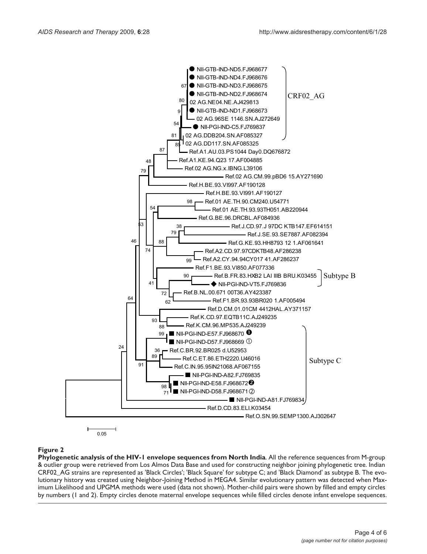

#### **Figure 2**

**Phylogenetic analysis of the HIV-1 envelope sequences from North India**. All the reference sequences from M-group & outlier group were retrieved from Los Almos Data Base and used for constructing neighbor joining phylogenetic tree. Indian CRF02\_AG strains are represented as 'Black Circles'; 'Black Square' for subtype C; and 'Black Diamond' as subtype B. The evolutionary history was created using Neighbor-Joining Method in MEGA4. Similar evolutionary pattern was detected when Maximum Likelihood and UPGMA methods were used (data not shown). Mother-child pairs were shown by filled and empty circles by numbers (1 and 2). Empty circles denote maternal envelope sequences while filled circles denote infant envelope sequences.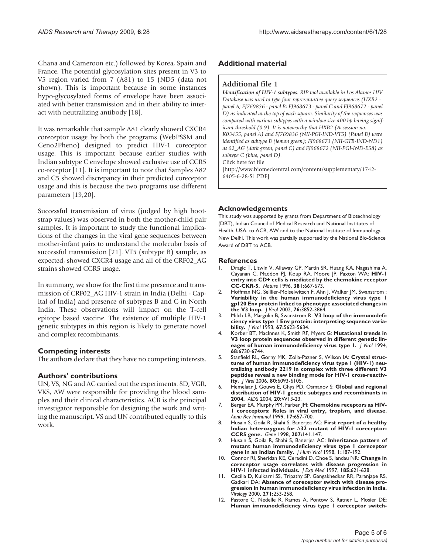Ghana and Cameroon etc.) followed by Korea, Spain and France. The potential glycosylation sites present in V3 to V5 region varied from 7 (A81) to 15 (ND5 (data not shown). This is important because in some instances hypo-glycosylated forms of envelope have been associated with better transmission and in their ability to interact with neutralizing antibody [18].

It was remarkable that sample A81 clearly showed CXCR4 coreceptor usage by both the programs (WebPSSM and Geno2Pheno) designed to predict HIV-1 coreceptor usage. This is important because earlier studies with Indian subtype C envelope showed exclusive use of CCR5 co-receptor [11]. It is important to note that Samples A82 and C5 showed discrepancy in their predicted coreceptor usage and this is because the two programs use different parameters [19,20].

Successful transmission of virus (judged by high bootstrap values) was observed in both the mother-child pair samples. It is important to study the functional implications of the changes in the viral gene sequences between mother-infant pairs to understand the molecular basis of successful transmission [21]. VT5 (subtype B) sample, as expected, showed CXCR4 usage and all of the CRF02\_AG strains showed CCR5 usage.

In summary, we show for the first time presence and transmission of CRF02\_AG HIV-1 strain in India (Delhi - Capital of India) and presence of subtypes B and C in North India. These observations will impact on the T-cell epitope based vaccine. The existence of multiple HIV-1 genetic subtypes in this region is likely to generate novel and complex recombinants.

#### **Competing interests**

The authors declare that they have no competing interests.

#### **Authors' contributions**

UN, VS, NG and AC carried out the experiments. SD, VGR, VKS, AW were responsible for providing the blood samples and their clinical characteristics. ACB is the principal investigator responsible for designing the work and writing the manuscript. VS and UN contributed equally to this work.

#### **Additional material**

#### **Additional file 1**

*Identification of HIV-1 subtypes. RIP tool available in Los Alamos HIV Database was used to type four representative query sequences (HXB2 panel A; FJ769836 - panel B; FJ968673 - panel C and FJ968672 - panel D) as indicated at the top of each square. Similarity of the sequences was compared with various subtypes with a window size 400 bp having significant threshold (0.9). It is noteworthy that HXB2 (Accession no. K03455, panel A) and FJ769836 (NII-PGI-IND-VT5) (Panel B) were identified as subtype B (lemon green); FJ968673 (NII-GTB-IND-ND1) as 02\_AG (dark green, panel C) and FJ968672 (NII-PGI-IND-E58) as subtype C (blue, panel D).* Click here for file [http://www.biomedcentral.com/content/supplementary/1742- 6405-6-28-S1.PDF]

#### **Acknowledgements**

This study was supported by grants from Department of Biotechnology (DBT), Indian Council of Medical Research and National Institutes of Health, USA, to ACB, AW and to the National Institute of Immunology, New Delhi. This work was partially supported by the National Bio-Science Award of DBT to ACB.

#### **References**

- 1. Dragic T, Litwin V, Allaway GP, Martin SR, Huang KA, Nagashima A, Cayanan C, Maddon PJ, Koup RA, Moore JP, Paxton WA: **HIV-1 entry into CD+ cells is mediated by the chemokine receptor CC-CKR-5.** *Nature* 1996, **381:**667-673.
- 2. Hoffman NG, Seillier-Moiseiwitsch F, Ahn J, Walker JM, Swanstrom : **Variability in the human immunodeficiency virus type 1 gp120 Env protein linked to phenotype associated changes in the V3 loop.** *J Virol* 2002, **76:**3852-3864.
- 3. Milch LB, Margolin B, Swanstrom R: **V3 loop of the immunodeficiency virus type 1 Env protein: interpreting sequence variability.** *J Virol* 1993, **67:**5623-5634.
- 4. Korber BT, MacInnes K, Smith RF, Myers G: **Mutational trends in V3 loop protein sequences observed in different genetic lineages of human immunodeficiency virus type 1.** *J Virol* 1994, **68:**6730-6744.
- Stanfield RL, Gorny MK, Zolla-Pazner S, Wilson IA: Crystal struc**tures of human immunodeficiency virus type 1 (HIV-1) neutralizing antibody 2219 in complex with three different V3 peptides reveal a new binding mode for HIV-1 cross-reactivity.** *J Virol* 2006, **80:**6093-6105.
- 6. Hemelaar J, Gouws E, Ghys PD, Osmanov S: **Global and regional distribution of HIV-1 genetic subtypes and recombinants in 2004.** *AIDS* 2004, **20:**W13-23.
- 7. Berger EA, Murphy PM, Farber JM: **Chemokine receptors as HIV-1 coreceptors: Roles in viral entry, tropism, and disease.** *Annu Rev Immunol* 1999, **17:**657-700.
- 8. Husain S, Goila R, Shahi S, Banerjea AC: **First report of a healthy** Indian heterozygous for  $\triangle$ 32 mutant of HIV-1 coreceptor-**CCR5 gene.** *Gene* 1998, **207:**141-147.
- 9. Husain S, Goila R, Shahi S, Banerjea AC: **Inheritance pattern of mutant human immunodeficiency virus type 1 coreceptor gene in an Indian family.** *J Hum Virol* 1998, **1:**187-192.
- 10. Connor RI, Sheridan KE, Ceradini D, Choe S, landau NR: **Change in coreceptor usage correlates with disease progression in HIV-1 infected individuals.** *J Exp Med* 1997, **185:**621-628.
- 11. Cecilia D, Kulkarni SS, Tripathy SP, Gangakhedkar RR, Paranjape RS, Gadkari DA: **Absence of coreceptor switch with disease progression in human immunodeficiency virus infection in India.** *Virology* 2000, **271:**253-258.
- 12. Pastore C, Nedelle R, Ramos A, Pontow S, Ratner L, Mosier DE: **Human immunodeficiency virus type 1 coreceptor switch-**